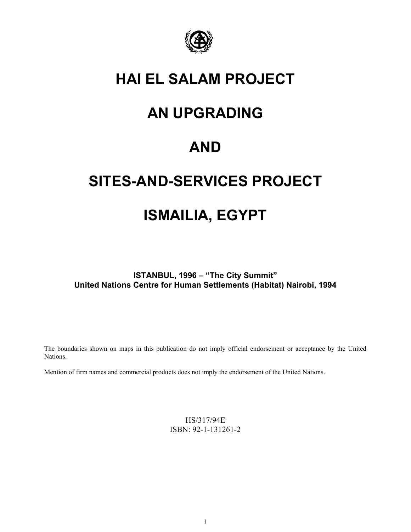

## **HAI EL SALAM PROJECT**

# **AN UPGRADING**

# **AND**

# **SITES-AND-SERVICES PROJECT**

# **ISMAILIA, EGYPT**

**ISTANBUL, 1996 – "The City Summit" United Nations Centre for Human Settlements (Habitat) Nairobi, 1994**

The boundaries shown on maps in this publication do not imply official endorsement or acceptance by the United Nations.

Mention of firm names and commercial products does not imply the endorsement of the United Nations.

HS/317/94E ISBN: 92-1-131261-2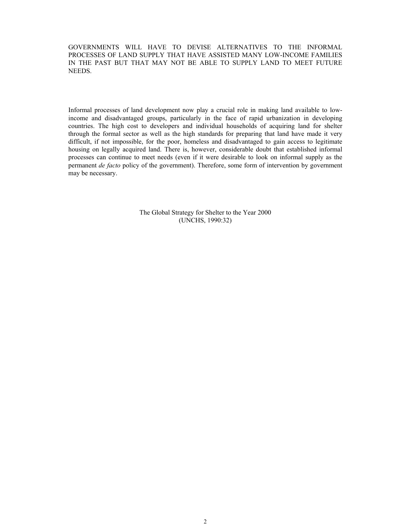GOVERNMENTS WILL HAVE TO DEVISE ALTERNATIVES TO THE INFORMAL PROCESSES OF LAND SUPPLY THAT HAVE ASSISTED MANY LOW-INCOME FAMILIES IN THE PAST BUT THAT MAY NOT BE ABLE TO SUPPLY LAND TO MEET FUTURE NEEDS.

Informal processes of land development now play a crucial role in making land available to lowincome and disadvantaged groups, particularly in the face of rapid urbanization in developing countries. The high cost to developers and individual households of acquiring land for shelter through the formal sector as well as the high standards for preparing that land have made it very difficult, if not impossible, for the poor, homeless and disadvantaged to gain access to legitimate housing on legally acquired land. There is, however, considerable doubt that established informal processes can continue to meet needs (even if it were desirable to look on informal supply as the permanent *de facto* policy of the government). Therefore, some form of intervention by government may be necessary.

> The Global Strategy for Shelter to the Year 2000 (UNCHS, 1990:32)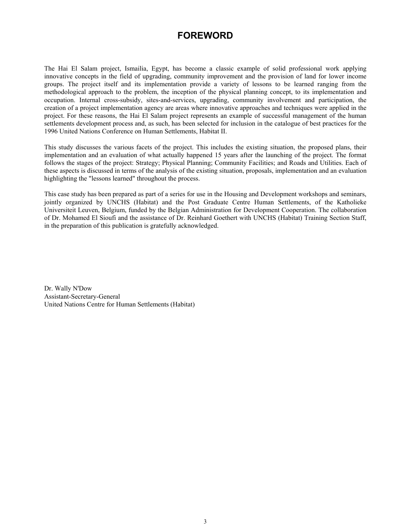### **FOREWORD**

The Hai El Salam project, Ismailia, Egypt, has become a classic example of solid professional work applying innovative concepts in the field of upgrading, community improvement and the provision of land for lower income groups. The project itself and its implementation provide a variety of lessons to be learned ranging from the methodological approach to the problem, the inception of the physical planning concept, to its implementation and occupation. Internal cross-subsidy, sites-and-services, upgrading, community involvement and participation, the creation of a project implementation agency are areas where innovative approaches and techniques were applied in the project. For these reasons, the Hai El Salam project represents an example of successful management of the human settlements development process and, as such, has been selected for inclusion in the catalogue of best practices for the 1996 United Nations Conference on Human Settlements, Habitat II.

This study discusses the various facets of the project. This includes the existing situation, the proposed plans, their implementation and an evaluation of what actually happened 15 years after the launching of the project. The format follows the stages of the project: Strategy; Physical Planning; Community Facilities; and Roads and Utilities. Each of these aspects is discussed in terms of the analysis of the existing situation, proposals, implementation and an evaluation highlighting the "lessons learned" throughout the process.

This case study has been prepared as part of a series for use in the Housing and Development workshops and seminars, jointly organized by UNCHS (Habitat) and the Post Graduate Centre Human Settlements, of the Katholieke Universiteit Leuven, Belgium, funded by the Belgian Administration for Development Cooperation. The collaboration of Dr. Mohamed El Sioufi and the assistance of Dr. Reinhard Goethert with UNCHS (Habitat) Training Section Staff, in the preparation of this publication is gratefully acknowledged.

Dr. Wally N'Dow Assistant-Secretary-General United Nations Centre for Human Settlements (Habitat)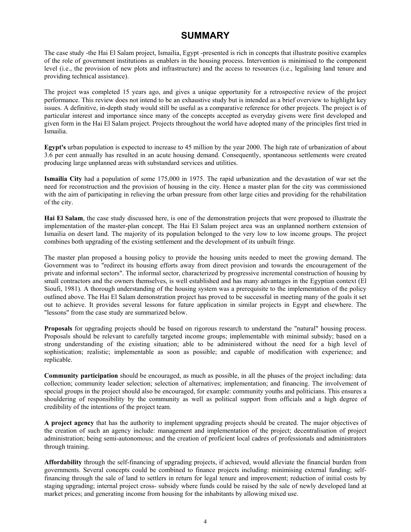## **SUMMARY**

The case study -the Hai El Salam project, Ismailia, Egypt -presented is rich in concepts that illustrate positive examples of the role of government institutions as enablers in the housing process. Intervention is minimised to the component level (i.e., the provision of new plots and infrastructure) and the access to resources (i.e., legalising land tenure and providing technical assistance).

The project was completed 15 years ago, and gives a unique opportunity for a retrospective review of the project performance. This review does not intend to be an exhaustive study but is intended as a brief overview to highlight key issues. A definitive, in-depth study would still be useful as a comparative reference for other projects. The project is of particular interest and importance since many of the concepts accepted as everyday givens were first developed and given form in the Hai El Salam project. Projects throughout the world have adopted many of the principles first tried in Ismailia.

**Egypt's** urban population is expected to increase to 45 million by the year 2000. The high rate of urbanization of about 3.6 per cent annually has resulted in an acute housing demand. Consequently, spontaneous settlements were created producing large unplanned areas with substandard services and utilities.

**Ismailia City** had a population of some 175,000 in 1975. The rapid urbanization and the devastation of war set the need for reconstruction and the provision of housing in the city. Hence a master plan for the city was commissioned with the aim of participating in relieving the urban pressure from other large cities and providing for the rehabilitation of the city.

**Hai El Salam**, the case study discussed here, is one of the demonstration projects that were proposed to illustrate the implementation of the master-plan concept. The Hai El Salam project area was an unplanned northern extension of Ismailia on desert land. The majority of its population belonged to the very low to low income groups. The project combines both upgrading of the existing settlement and the development of its unbuilt fringe.

The master plan proposed a housing policy to provide the housing units needed to meet the growing demand. The Government was to "redirect its housing efforts away from direct provision and towards the encouragement of the private and informal sectors". The informal sector, characterized by progressive incremental construction of housing by small contractors and the owners themselves, is well established and has many advantages in the Egyptian context (El Sioufi, 1981). A thorough understanding of the housing system was a prerequisite to the implementation of the policy outlined above. The Hai El Salam demonstration project has proved to be successful in meeting many of the goals it set out to achieve. It provides several lessons for future application in similar projects in Egypt and elsewhere. The "lessons" from the case study are summarized below.

**Proposals** for upgrading projects should be based on rigorous research to understand the "natural" housing process. Proposals should be relevant to carefully targeted income groups; implementable with minimal subsidy; based on a strong understanding of the existing situation; able to be administered without the need for a high level of sophistication; realistic; implementable as soon as possible; and capable of modification with experience; and replicable.

**Community participation** should be encouraged, as much as possible, in all the phases of the project including: data collection; community leader selection; selection of alternatives; implementation; and financing. The involvement of special groups in the project should also be encouraged, for example: community youths and politicians. This ensures a shouldering of responsibility by the community as well as political support from officials and a high degree of credibility of the intentions of the project team.

**A project agency** that has the authority to implement upgrading projects should be created. The major objectives of the creation of such an agency include: management and implementation of the project; decentralisation of project administration; being semi-autonomous; and the creation of proficient local cadres of professionals and administrators through training.

**Affordability** through the self-financing of upgrading projects, if achieved, would alleviate the financial burden from governments. Several concepts could be combined to finance projects including: minimising external funding; selffinancing through the sale of land to settlers in return for legal tenure and improvement; reduction of initial costs by staging upgrading; internal project cross- subsidy where funds could be raised by the sale of newly developed land at market prices; and generating income from housing for the inhabitants by allowing mixed use.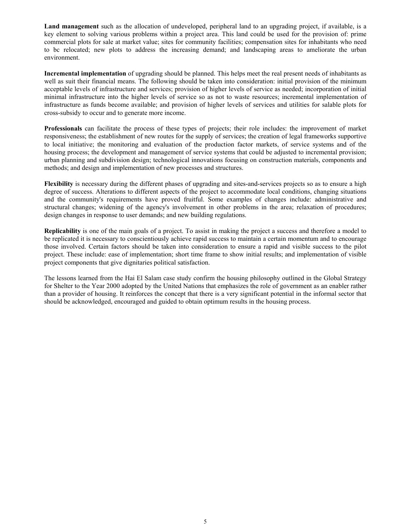**Land management** such as the allocation of undeveloped, peripheral land to an upgrading project, if available, is a key element to solving various problems within a project area. This land could be used for the provision of: prime commercial plots for sale at market value; sites for community facilities; compensation sites for inhabitants who need to bc relocated; new plots to address the increasing demand; and landscaping areas to ameliorate the urban environment.

**Incremental implementation** of upgrading should be planned. This helps meet the real present needs of inhabitants as well as suit their financial means. The following should be taken into consideration: initial provision of the minimum acceptable levels of infrastructure and services; provision of higher levels of service as needed; incorporation of initial minimal infrastructure into the higher levels of service so as not to waste resources; incremental implementation of infrastructure as funds become available; and provision of higher levels of services and utilities for salable plots for cross-subsidy to occur and to generate more income.

**Professionals** can facilitate the process of these types of projects; their role includes: the improvement of market responsiveness; the establishment of new routes for the supply of services; the creation of legal frameworks supportive to local initiative; the monitoring and evaluation of the production factor markets, of service systems and of the housing process; the development and management of service systems that could be adjusted to incremental provision; urban planning and subdivision design; technological innovations focusing on construction materials, components and methods; and design and implementation of new processes and structures.

**Flexibility** is necessary during the different phases of upgrading and sites-and-services projects so as to ensure a high degree of success. Alterations to different aspects of the project to accommodate local conditions, changing situations and the community's requirements have proved fruitful. Some examples of changes include: administrative and structural changes; widening of the agency's involvement in other problems in the area; relaxation of procedures; design changes in response to user demands; and new building regulations.

**Replicability** is one of the main goals of a project. To assist in making the project a success and therefore a model to be replicated it is necessary to conscientiously achieve rapid success to maintain a certain momentum and to encourage those involved. Certain factors should be taken into consideration to ensure a rapid and visible success to the pilot project. These include: ease of implementation; short time frame to show initial results; and implementation of visible project components that give dignitaries political satisfaction.

The lessons learned from the Hai El Salam case study confirm the housing philosophy outlined in the Global Strategy for Shelter to the Year 2000 adopted by the United Nations that emphasizes the role of government as an enabler rather than a provider of housing. It reinforces the concept that there is a very significant potential in the informal sector that should be acknowledged, encouraged and guided to obtain optimum results in the housing process.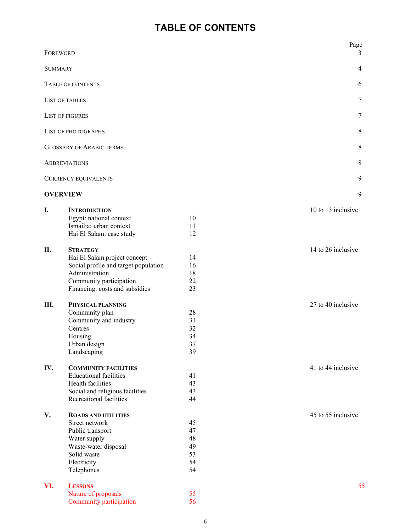## **TABLE OF CONTENTS**

| FOREWORD       |                                                            |          | Page<br>3          |
|----------------|------------------------------------------------------------|----------|--------------------|
| <b>SUMMARY</b> |                                                            |          |                    |
|                | $\overline{4}$<br>6<br><b>TABLE OF CONTENTS</b>            |          |                    |
|                |                                                            |          |                    |
|                | <b>LIST OF TABLES</b>                                      |          | 7                  |
|                | <b>LIST OF FIGURES</b>                                     |          | $\tau$             |
|                | LIST OF PHOTOGRAPHS                                        |          | 8                  |
|                | <b>GLOSSARY OF ARABIC TERMS</b>                            |          | 8                  |
|                | <b>ABBREVIATIONS</b>                                       |          | 8                  |
|                | <b>CURRENCY EQUIVALENTS</b>                                |          | 9                  |
|                | <b>OVERVIEW</b>                                            |          | 9                  |
|                |                                                            |          |                    |
| I.             | <b>INTRODUCTION</b>                                        |          | 10 to 13 inclusive |
|                | Egypt: national context<br>Ismailia: urban context         | 10<br>11 |                    |
|                | Hai El Salam: case study                                   | 12       |                    |
|                |                                                            |          |                    |
| П.             | <b>STRATEGY</b>                                            |          | 14 to 26 inclusive |
|                | Hai El Salam project concept                               | 14       |                    |
|                | Social profile and target population                       | 16       |                    |
|                | Administration                                             | 18       |                    |
|                | Community participation                                    | 22       |                    |
|                | Financing: costs and subsidies                             | 23       |                    |
| Ш.             | PHYSICAL PLANNING                                          |          | 27 to 40 inclusive |
|                | Community plan                                             | 28       |                    |
|                | Community and industry                                     | 31       |                    |
|                | Centres                                                    | 32       |                    |
|                | Housing                                                    | 34       |                    |
|                | Urban design                                               | 37       |                    |
|                | Landscaping                                                | 39       |                    |
|                |                                                            |          |                    |
| IV.            | <b>COMMUNITY FACILITIES</b>                                |          | 41 to 44 inclusive |
|                | <b>Educational facilities</b>                              | 41       |                    |
|                | Health facilities                                          | 43       |                    |
|                | Social and religious facilities<br>Recreational facilities | 43<br>44 |                    |
|                |                                                            |          |                    |
| V.             | <b>ROADS AND UTILITIES</b><br>Street network               | 45       | 45 to 55 inclusive |
|                | Public transport                                           | 47       |                    |
|                | Water supply                                               | 48       |                    |
|                | Waste-water disposal                                       | 49       |                    |
|                | Solid waste                                                | 53       |                    |
|                | Electricity                                                | 54       |                    |
|                | Telephones                                                 | 54       |                    |
|                |                                                            |          |                    |
| VI.            | <b>LESSONS</b>                                             |          | 55                 |
|                | Nature of proposals                                        | 55       |                    |

Community participation 56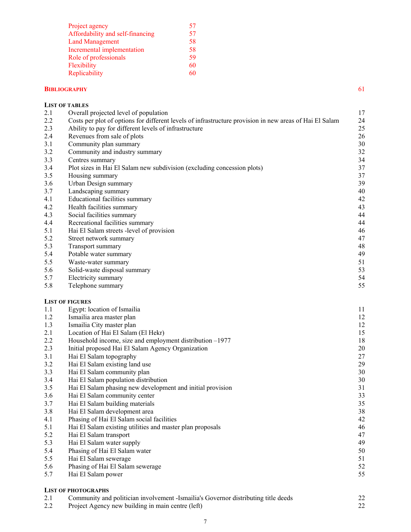| Project agency                   | 57 |
|----------------------------------|----|
| Affordability and self-financing | 57 |
| <b>Land Management</b>           | 58 |
| Incremental implementation       | 58 |
| Role of professionals            | 59 |
| Flexibility                      | 60 |
| Replicability                    | 60 |
|                                  |    |

#### **BIBLIOGRAPHY** 61

|            | <b>LIST OF TABLES</b>                                                                                   |          |
|------------|---------------------------------------------------------------------------------------------------------|----------|
| 2.1        | Overall projected level of population                                                                   | 17       |
| 2.2        | Costs per plot of options for different levels of infrastructure provision in new areas of Hai El Salam | 24       |
| 2.3        | Ability to pay for different levels of infrastructure                                                   | 25       |
| 2.4        | Revenues from sale of plots                                                                             | 26       |
| 3.1        | Community plan summary                                                                                  | 30       |
| 3.2        | Community and industry summary                                                                          | 32       |
| 3.3        | Centres summary                                                                                         | 34       |
| 3.4        | Plot sizes in Hai El Salam new subdivision (excluding concession plots)                                 | 37       |
| 3.5        | Housing summary                                                                                         | 37       |
| 3.6        | Urban Design summary                                                                                    | 39       |
| 3.7        | Landscaping summary                                                                                     | 40       |
| 4.1        | Educational facilities summary                                                                          | 42       |
| 4.2        | Health facilities summary                                                                               | 43       |
| 4.3        | Social facilities summary                                                                               | 44       |
| 4.4        | Recreational facilities summary                                                                         | 44       |
| 5.1        | Hai El Salam streets -level of provision                                                                | 46       |
| 5.2        | Street network summary                                                                                  | 47       |
| 5.3        | Transport summary                                                                                       | 48       |
| 5.4        | Potable water summary                                                                                   | 49       |
| 5.5        | Waste-water summary                                                                                     | 51       |
| 5.6        | Solid-waste disposal summary                                                                            | 53       |
| 5.7        | Electricity summary                                                                                     | 54       |
| 5.8        | Telephone summary                                                                                       | 55       |
|            | <b>LIST OF FIGURES</b>                                                                                  |          |
| 1.1        | Egypt: location of Ismailia                                                                             | 11       |
| 1.2        | Ismailia area master plan                                                                               | 12       |
| 1.3        | Ismailia City master plan                                                                               | 12       |
| 2.1        | Location of Hai El Salam (El Hekr)                                                                      | 15       |
| 2.2        | Household income, size and employment distribution -1977                                                | 18       |
| 2.3        | Initial proposed Hai El Salam Agency Organization                                                       | 20       |
| 3.1        | Hai El Salam topography                                                                                 | 27       |
| 3.2        | Hai El Salam existing land use                                                                          | 29       |
| 3.3        | Hai El Salam community plan                                                                             | 30       |
| 3.4        | Hai El Salam population distribution                                                                    | 30       |
| 3.5        | Hai El Salam phasing new development and initial provision                                              | 31       |
| 3.6        | Hai El Salam community center                                                                           | 33       |
| 3.7        | Hai El Salam building materials                                                                         | 35       |
| 3.8        | Hai El Salam development area                                                                           | 38       |
| 4.1        | Phasing of Hai El Salam social facilities                                                               | 42       |
| 5.1        | Hai El Salam existing utilities and master plan proposals                                               | 46       |
| 5.2        | Hai El Salam transport                                                                                  | 47       |
| 5.3        | Hai El Salam water supply                                                                               | 49       |
| 5.4        | Phasing of Hai El Salam water                                                                           | 50       |
| 5.5        | Hai El Salam sewerage                                                                                   | 51       |
| 5.6<br>5.7 | Phasing of Hai El Salam sewerage<br>Hai El Salam power                                                  | 52<br>55 |
|            |                                                                                                         |          |
|            | <b>LIST OF PHOTOGRAPHS</b>                                                                              |          |

| 2.1 | Community and politician involvement -Ismailia's Governor distributing title deeds |  |
|-----|------------------------------------------------------------------------------------|--|
| 2.2 | Project Agency new building in main centre (left)                                  |  |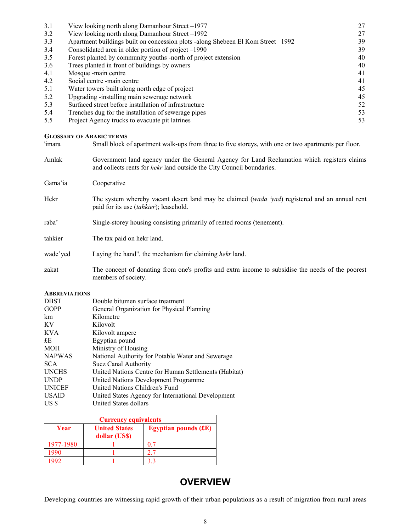| 3.1 | View looking north along Damanhour Street –1977                                  | 27 |
|-----|----------------------------------------------------------------------------------|----|
| 3.2 | View looking north along Damanhour Street –1992                                  | 27 |
| 3.3 | Apartment buildings built on concession plots -along Shebeen El Kom Street –1992 | 39 |
| 3.4 | Consolidated area in older portion of project –1990                              | 39 |
| 3.5 | Forest planted by community youths -north of project extension                   | 40 |
| 3.6 | Trees planted in front of buildings by owners                                    | 40 |
| 4.1 | Mosque -main centre                                                              | 41 |
| 4.2 | Social centre -main centre                                                       | 41 |
| 5.1 | Water towers built along north edge of project                                   | 45 |
| 5.2 | Upgrading -installing main sewerage network                                      | 45 |
| 5.3 | Surfaced street before installation of infrastructure                            | 52 |
| 5.4 | Trenches dug for the installation of sewerage pipes                              | 53 |
| 5.5 | Project Agency trucks to evacuate pit latrines                                   | 53 |

#### **GLOSSARY OF ARABIC TERMS**

| Amlak    | Government land agency under the General Agency for Land Reclamation which registers claims<br>and collects rents for <i>hekr</i> land outside the City Council boundaries. |  |
|----------|-----------------------------------------------------------------------------------------------------------------------------------------------------------------------------|--|
| Gama'ia  | Cooperative                                                                                                                                                                 |  |
| Hekr     | The system whereby vacant desert land may be claimed (wada 'yad) registered and an annual rent<br>paid for its use (tahkier); leasehold.                                    |  |
| raba'    | Single-storey housing consisting primarily of rented rooms (tenement).                                                                                                      |  |
| tahkier  | The tax paid on hekr land.                                                                                                                                                  |  |
| wade'yed | Laying the hand", the mechanism for claiming hekr land.                                                                                                                     |  |
| zakat    | The concept of donating from one's profits and extra income to subsidise the needs of the poorest<br>members of society.                                                    |  |

#### **ABBREVIATIONS**

| <b>DBST</b>   | Double bitumen surface treatment                      |
|---------------|-------------------------------------------------------|
| <b>GOPP</b>   | General Organization for Physical Planning            |
| km            | Kilometre                                             |
| KV            | Kilovolt                                              |
| <b>KVA</b>    | Kilovolt ampere                                       |
| £E            | Egyptian pound                                        |
| <b>MOH</b>    | Ministry of Housing                                   |
| <b>NAPWAS</b> | National Authority for Potable Water and Sewerage     |
| <b>SCA</b>    | Suez Canal Authority                                  |
| <b>UNCHS</b>  | United Nations Centre for Human Settlements (Habitat) |
| <b>UNDP</b>   | United Nations Development Programme                  |
| <b>UNICEF</b> | United Nations Children's Fund                        |
| <b>USAID</b>  | United States Agency for International Development    |
| US \$         | United States dollars                                 |

| <b>Currency equivalents</b> |                                       |                        |  |
|-----------------------------|---------------------------------------|------------------------|--|
| Year                        | <b>United States</b><br>dollar (US\$) | Egyptian pounds $(EE)$ |  |
| 1977-1980                   |                                       |                        |  |
| 990                         |                                       |                        |  |
|                             |                                       |                        |  |

## **OVERVIEW**

Developing countries are witnessing rapid growth of their urban populations as a result of migration from rural areas